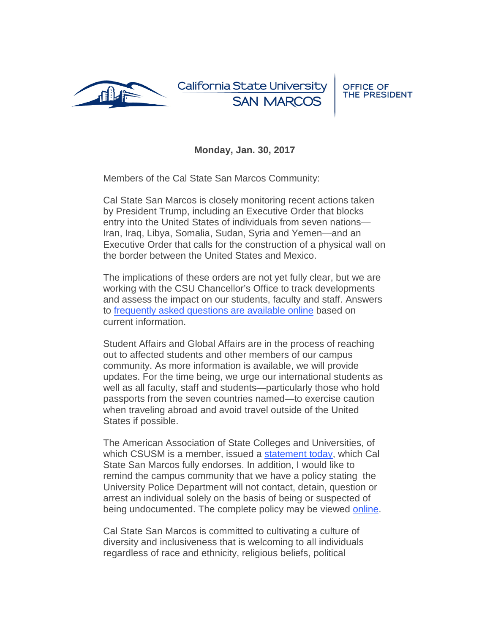

California State University **SAN MARCOS** 

**OFFICE OF** THE PRESIDENT

## **Monday, Jan. 30, 2017**

Members of the Cal State San Marcos Community:

Cal State San Marcos is closely monitoring recent actions taken by President Trump, including an Executive Order that blocks entry into the United States of individuals from seven nations— Iran, Iraq, Libya, Somalia, Sudan, Syria and Yemen—and an Executive Order that calls for the construction of a physical wall on the border between the United States and Mexico.

The implications of these orders are not yet fully clear, but we are working with the CSU Chancellor's Office to track developments and assess the impact on our students, faculty and staff. Answers to [frequently asked questions are available online](https://t.e2ma.net/click/5tqu6/5xx6nq/phalpj) based on current information.

Student Affairs and Global Affairs are in the process of reaching out to affected students and other members of our campus community. As more information is available, we will provide updates. For the time being, we urge our international students as well as all faculty, staff and students—particularly those who hold passports from the seven countries named—to exercise caution when traveling abroad and avoid travel outside of the United States if possible.

The American Association of State Colleges and Universities, of which CSUSM is a member, issued a [statement today,](https://t.e2ma.net/click/5tqu6/5xx6nq/59alpj) which Cal State San Marcos fully endorses. In addition, I would like to remind the campus community that we have a policy stating the University Police Department will not contact, detain, question or arrest an individual solely on the basis of being or suspected of being undocumented. The complete policy may be viewed [online.](https://t.e2ma.net/click/5tqu6/5xx6nq/l2blpj)

Cal State San Marcos is committed to cultivating a culture of diversity and inclusiveness that is welcoming to all individuals regardless of race and ethnicity, religious beliefs, political